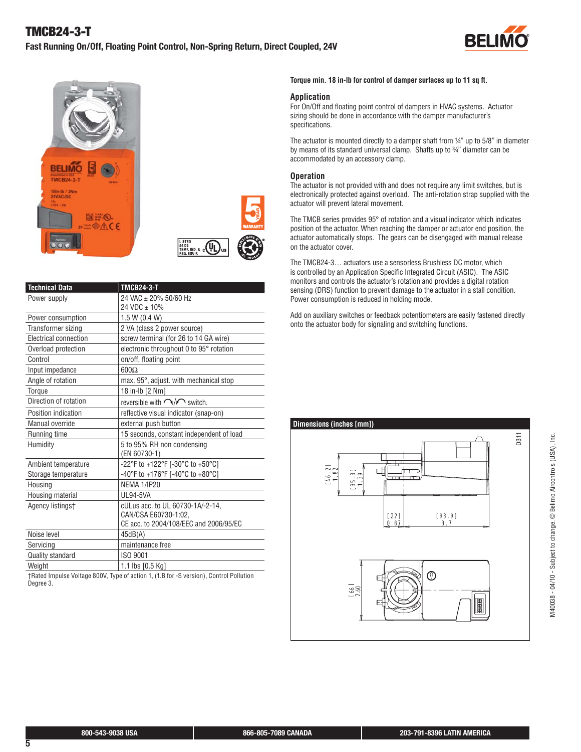





| <b>Technical Data</b>        | <b>TMCB24-3-T</b>                         |
|------------------------------|-------------------------------------------|
| Power supply                 | 24 VAC ± 20% 50/60 Hz                     |
|                              | 24 VDC ± 10%                              |
| Power consumption            | 1.5 W (0.4 W)                             |
| Transformer sizing           | 2 VA (class 2 power source)               |
| <b>Electrical connection</b> | screw terminal (for 26 to 14 GA wire)     |
| Overload protection          | electronic throughout 0 to 95° rotation   |
| Control                      | on/off, floating point                    |
| Input impedance              | $600\Omega$                               |
| Angle of rotation            | max. 95°, adjust. with mechanical stop    |
| <b>Torque</b>                | 18 in-lb [2 Nm]                           |
| Direction of rotation        | reversible with $\bigcap/\bigcap$ switch. |
| Position indication          | reflective visual indicator (snap-on)     |
| Manual override              | external push button                      |
| Running time                 | 15 seconds, constant independent of load  |
| Humidity                     | 5 to 95% RH non condensing                |
|                              | (EN 60730-1)                              |
| Ambient temperature          | -22°F to +122°F [-30°C to +50°C]          |
| Storage temperature          | -40°F to +176°F [-40°C to +80°C]          |
| Housing                      | <b>NEMA 1/IP20</b>                        |
| Housing material             | <b>UL94-5VA</b>                           |
| Agency listingst             | cULus acc. to UL 60730-1A/-2-14,          |
|                              | CAN/CSA E60730-1:02.                      |
|                              | CE acc. to 2004/108/EEC and 2006/95/EC    |
| Noise level                  | 45dB(A)                                   |
| Servicing                    | maintenance free                          |
| Quality standard             | ISO 9001                                  |
| Weight                       | 1.1 lbs [0.5 Kg]                          |

†Rated Impulse Voltage 800V, Type of action 1, (1.B for -S version), Control Pollution Degree 3.

### **Torque min. 18 in-lb for control of damper surfaces up to 11 sq ft.**

### **Application**

For On/Off and floating point control of dampers in HVAC systems. Actuator sizing should be done in accordance with the damper manufacturer's specifications.

The actuator is mounted directly to a damper shaft from  $1/4$ " up to  $5/8$ " in diameter by means of its standard universal clamp. Shafts up to 34" diameter can be accommodated by an accessory clamp.

## **Operation**

The actuator is not provided with and does not require any limit switches, but is electronically protected against overload. The anti-rotation strap supplied with the actuator will prevent lateral movement.

The TMCB series provides 95° of rotation and a visual indicator which indicates position of the actuator. When reaching the damper or actuator end position, the actuator automatically stops. The gears can be disengaged with manual release on the actuator cover.

The TMCB24-3… actuators use a sensorless Brushless DC motor, which is controlled by an Application Specific Integrated Circuit (ASIC). The ASIC monitors and controls the actuator's rotation and provides a digital rotation sensing (DRS) function to prevent damage to the actuator in a stall condition. Power consumption is reduced in holding mode.

Add on auxiliary switches or feedback potentiometers are easily fastened directly onto the actuator body for signaling and switching functions.



**5**